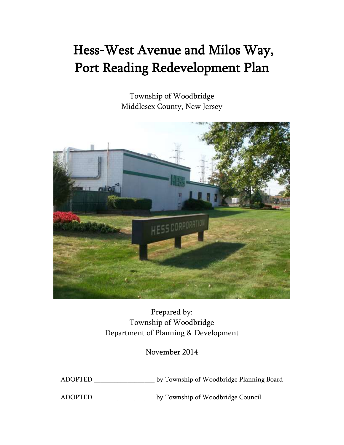# Hess-West Avenue and Milos Way, Port Reading Redevelopment Plan

Township of Woodbridge Middlesex County, New Jersey



Prepared by: Township of Woodbridge Department of Planning & Development

November 2014

ADOPTED \_\_\_\_\_\_\_\_\_\_\_\_\_\_\_\_\_\_ by Township of Woodbridge Planning Board

ADOPTED \_\_\_\_\_\_\_\_\_\_\_\_\_\_\_\_\_\_ by Township of Woodbridge Council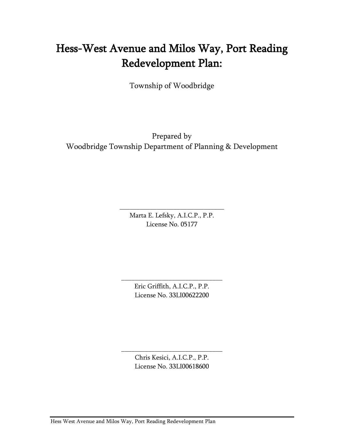# Hess-West Avenue and Milos Way, Port Reading Redevelopment Plan:

Township of Woodbridge

Prepared by Woodbridge Township Department of Planning & Development

> Marta E. Lefsky, A.I.C.P., P.P. License No. 05177

\_\_\_\_\_\_\_\_\_\_\_\_\_\_\_\_\_\_\_\_\_\_\_\_\_\_\_\_\_\_\_

Eric Griffith, A.I.C.P., P.P. License No. 33LI00622200

\_\_\_\_\_\_\_\_\_\_\_\_\_\_\_\_\_\_\_\_\_\_\_\_\_\_\_\_\_\_

Chris Kesici, A.I.C.P., P.P. License No. 33LI00618600

\_\_\_\_\_\_\_\_\_\_\_\_\_\_\_\_\_\_\_\_\_\_\_\_\_\_\_\_\_\_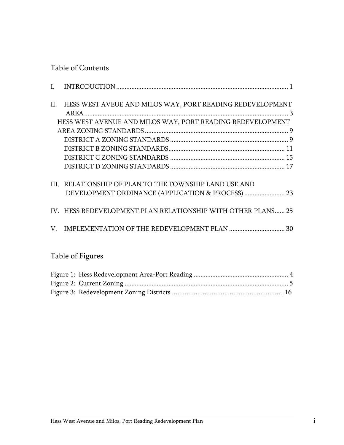# Table of Contents

| II. HESS WEST AVEUE AND MILOS WAY, PORT READING REDEVELOPMENT |  |
|---------------------------------------------------------------|--|
|                                                               |  |
| HESS WEST AVENUE AND MILOS WAY, PORT READING REDEVELOPMENT    |  |
|                                                               |  |
|                                                               |  |
|                                                               |  |
|                                                               |  |
|                                                               |  |
| III. RELATIONSHIP OF PLAN TO THE TOWNSHIP LAND USE AND        |  |
| DEVELOPMENT ORDINANCE (APPLICATION & PROCESS)  23             |  |
| IV. HESS REDEVELOPMENT PLAN RELATIONSHIP WITH OTHER PLANS 25  |  |
|                                                               |  |
|                                                               |  |
|                                                               |  |

# Table of Figures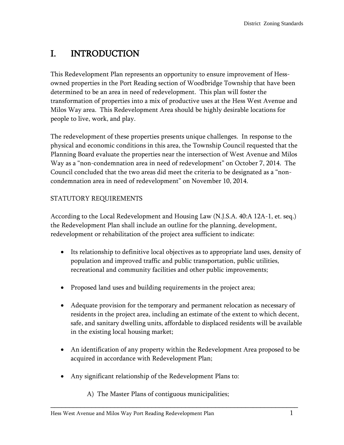# <span id="page-3-0"></span>I. INTRODUCTION

This Redevelopment Plan represents an opportunity to ensure improvement of Hessowned properties in the Port Reading section of Woodbridge Township that have been determined to be an area in need of redevelopment. This plan will foster the transformation of properties into a mix of productive uses at the Hess West Avenue and Milos Way area. This Redevelopment Area should be highly desirable locations for people to live, work, and play.

The redevelopment of these properties presents unique challenges. In response to the physical and economic conditions in this area, the Township Council requested that the Planning Board evaluate the properties near the intersection of West Avenue and Milos Way as a "non-condemnation area in need of redevelopment" on October 7, 2014. The Council concluded that the two areas did meet the criteria to be designated as a "noncondemnation area in need of redevelopment" on November 10, 2014.

# STATUTORY REQUIREMENTS

According to the Local Redevelopment and Housing Law (N.J.S.A. 40:A 12A-1, et. seq.) the Redevelopment Plan shall include an outline for the planning, development, redevelopment or rehabilitation of the project area sufficient to indicate:

- Its relationship to definitive local objectives as to appropriate land uses, density of population and improved traffic and public transportation, public utilities, recreational and community facilities and other public improvements;
- Proposed land uses and building requirements in the project area;
- Adequate provision for the temporary and permanent relocation as necessary of residents in the project area, including an estimate of the extent to which decent, safe, and sanitary dwelling units, affordable to displaced residents will be available in the existing local housing market;
- An identification of any property within the Redevelopment Area proposed to be acquired in accordance with Redevelopment Plan;

\_\_\_\_\_\_\_\_\_\_\_\_\_\_\_\_\_\_\_\_\_\_\_\_\_\_\_\_\_\_\_\_\_\_\_\_\_\_\_\_\_\_\_\_\_\_\_\_\_\_\_\_\_\_\_\_\_\_\_\_\_\_\_\_\_\_

Any significant relationship of the Redevelopment Plans to:

A) The Master Plans of contiguous municipalities;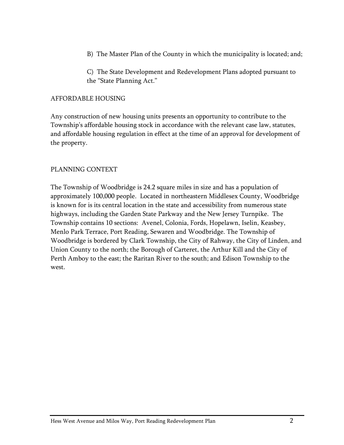B) The Master Plan of the County in which the municipality is located; and;

C) The State Development and Redevelopment Plans adopted pursuant to the "State Planning Act."

#### AFFORDABLE HOUSING

Any construction of new housing units presents an opportunity to contribute to the Township's affordable housing stock in accordance with the relevant case law, statutes, and affordable housing regulation in effect at the time of an approval for development of the property.

#### PLANNING CONTEXT

The Township of Woodbridge is 24.2 square miles in size and has a population of approximately 100,000 people. Located in northeastern Middlesex County, Woodbridge is known for is its central location in the state and accessibility from numerous state highways, including the Garden State Parkway and the New Jersey Turnpike. The Township contains 10 sections: Avenel, Colonia, Fords, Hopelawn, Iselin, Keasbey, Menlo Park Terrace, Port Reading, Sewaren and Woodbridge. The Township of Woodbridge is bordered by Clark Township, the City of Rahway, the City of Linden, and Union County to the north; the Borough of Carteret, the Arthur Kill and the City of Perth Amboy to the east; the Raritan River to the south; and Edison Township to the west.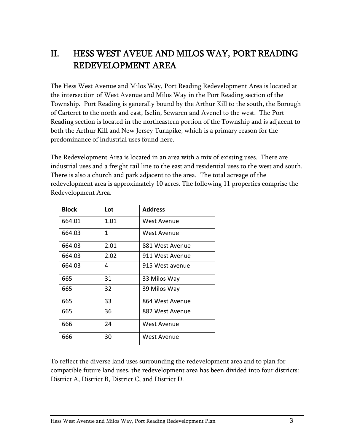# <span id="page-5-0"></span>II. HESS WEST AVEUE AND MILOS WAY, PORT READING REDEVELOPMENT AREA

The Hess West Avenue and Milos Way, Port Reading Redevelopment Area is located at the intersection of West Avenue and Milos Way in the Port Reading section of the Township. Port Reading is generally bound by the Arthur Kill to the south, the Borough of Carteret to the north and east, Iselin, Sewaren and Avenel to the west. The Port Reading section is located in the northeastern portion of the Township and is adjacent to both the Arthur Kill and New Jersey Turnpike, which is a primary reason for the predominance of industrial uses found here.

The Redevelopment Area is located in an area with a mix of existing uses. There are industrial uses and a freight rail line to the east and residential uses to the west and south. There is also a church and park adjacent to the area. The total acreage of the redevelopment area is approximately 10 acres. The following 11 properties comprise the Redevelopment Area.

| <b>Block</b> | Lot  | <b>Address</b>     |
|--------------|------|--------------------|
| 664.01       | 1.01 | West Avenue        |
| 664.03       | 1    | West Avenue        |
| 664.03       | 2.01 | 881 West Avenue    |
| 664.03       | 2.02 | 911 West Avenue    |
| 664.03       | 4    | 915 West avenue    |
| 665          | 31   | 33 Milos Way       |
| 665          | 32   | 39 Milos Way       |
| 665          | 33   | 864 West Avenue    |
| 665          | 36   | 882 West Avenue    |
| 666          | 24   | West Avenue        |
| 666          | 30   | <b>West Avenue</b> |

<span id="page-5-1"></span>To reflect the diverse land uses surrounding the redevelopment area and to plan for compatible future land uses, the redevelopment area has been divided into four districts: District A, District B, District C, and District D.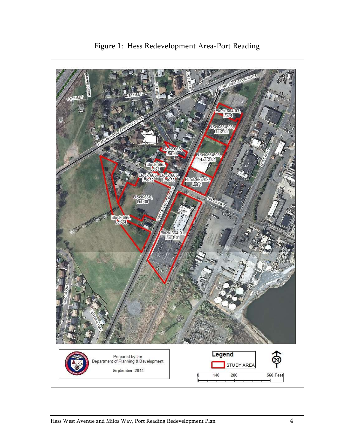

Figure 1: Hess Redevelopment Area-Port Reading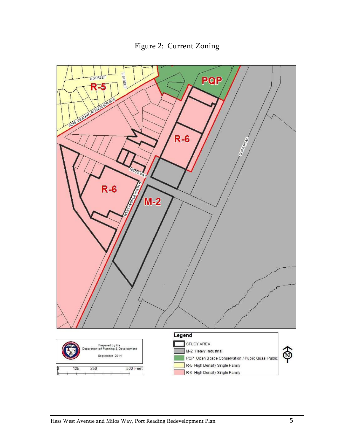<span id="page-7-0"></span>

Figure 2: Current Zoning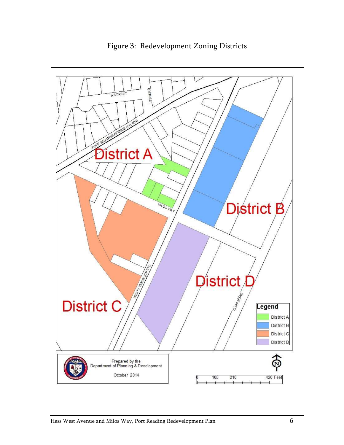![](_page_8_Figure_0.jpeg)

Figure 3: Redevelopment Zoning Districts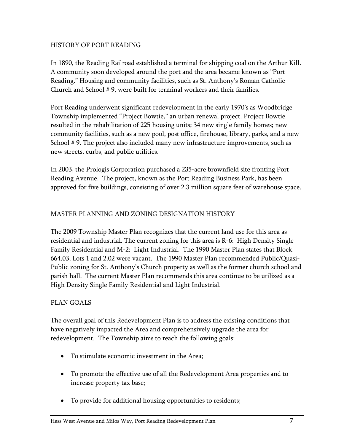# HISTORY OF PORT READING

In 1890, the Reading Railroad established a terminal for shipping coal on the Arthur Kill. A community soon developed around the port and the area became known as "Port Reading." Housing and community facilities, such as St. Anthony's Roman Catholic Church and School # 9, were built for terminal workers and their families.

Port Reading underwent significant redevelopment in the early 1970's as Woodbridge Township implemented "Project Bowtie," an urban renewal project. Project Bowtie resulted in the rehabilitation of 225 housing units; 34 new single family homes; new community facilities, such as a new pool, post office, firehouse, library, parks, and a new School # 9. The project also included many new infrastructure improvements, such as new streets, curbs, and public utilities.

In 2003, the Prologis Corporation purchased a 235-acre brownfield site fronting Port Reading Avenue. The project, known as the Port Reading Business Park, has been approved for five buildings, consisting of over 2.3 million square feet of warehouse space.

#### MASTER PLANNING AND ZONING DESIGNATION HISTORY

The 2009 Township Master Plan recognizes that the current land use for this area as residential and industrial. The current zoning for this area is R-6: High Density Single Family Residential and M-2: Light Industrial. The 1990 Master Plan states that Block 664.03, Lots 1 and 2.02 were vacant. The 1990 Master Plan recommended Public/Quasi-Public zoning for St. Anthony's Church property as well as the former church school and parish hall. The current Master Plan recommends this area continue to be utilized as a High Density Single Family Residential and Light Industrial.

#### PLAN GOALS

The overall goal of this Redevelopment Plan is to address the existing conditions that have negatively impacted the Area and comprehensively upgrade the area for redevelopment. The Township aims to reach the following goals:

- To stimulate economic investment in the Area;
- To promote the effective use of all the Redevelopment Area properties and to increase property tax base;
- To provide for additional housing opportunities to residents;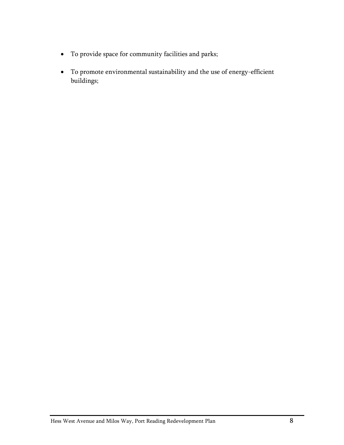- To provide space for community facilities and parks;
- To promote environmental sustainability and the use of energy-efficient buildings;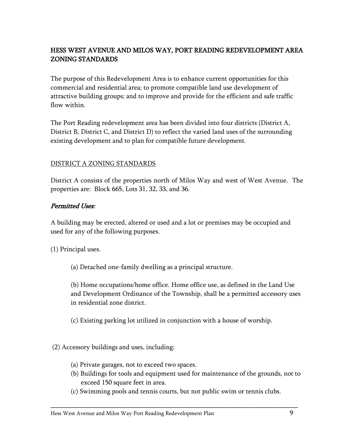# HESS WEST AVENUE AND MILOS WAY, PORT READING REDEVELOPMENT AREA ZONING STANDARDS

The purpose of this Redevelopment Area is to enhance current opportunities for this commercial and residential area; to promote compatible land use development of attractive building groups; and to improve and provide for the efficient and safe traffic flow within.

The Port Reading redevelopment area has been divided into four districts (District A, District B, District C, and District D) to reflect the varied land uses of the surrounding existing development and to plan for compatible future development.

#### DISTRICT A ZONING STANDARDS

District A consists of the properties north of Milos Way and west of West Avenue. The properties are: Block 665, Lots 31, 32, 33, and 36.

#### Permitted Uses:

A building may be erected, altered or used and a lot or premises may be occupied and used for any of the following purposes.

(1) Principal uses.

(a) Detached one-family dwelling as a principal structure.

(b) Home occupations/home office. Home office use, as defined in the Land Use and Development Ordinance of the Township, shall be a permitted accessory uses in residential zone district.

(c) Existing parking lot utilized in conjunction with a house of worship.

(2) Accessory buildings and uses, including:

- (a) Private garages, not to exceed two spaces.
- (b) Buildings for tools and equipment used for maintenance of the grounds, not to exceed 150 square feet in area.
- (c) Swimming pools and tennis courts, but not public swim or tennis clubs.

\_\_\_\_\_\_\_\_\_\_\_\_\_\_\_\_\_\_\_\_\_\_\_\_\_\_\_\_\_\_\_\_\_\_\_\_\_\_\_\_\_\_\_\_\_\_\_\_\_\_\_\_\_\_\_\_\_\_\_\_\_\_\_\_\_\_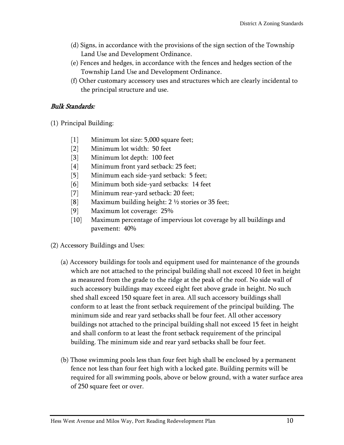- (d) Signs, in accordance with the provisions of the sign section of the Township Land Use and Development Ordinance.
- (e) Fences and hedges, in accordance with the fences and hedges section of the Township Land Use and Development Ordinance.
- (f) Other customary accessory uses and structures which are clearly incidental to the principal structure and use.

# Bulk Standards:

(1) Principal Building:

- [1] Minimum lot size: 5,000 square feet;
- [2] Minimum lot width: 50 feet
- [3] Minimum lot depth: 100 feet
- [4] Minimum front yard setback: 25 feet;
- [5] Minimum each side-yard setback: 5 feet;
- [6] Minimum both side-yard setbacks: 14 feet
- [7] Minimum rear-yard setback: 20 feet;
- [8] Maximum building height: 2 ½ stories or 35 feet;
- [9] Maximum lot coverage: 25%
- [10] Maximum percentage of impervious lot coverage by all buildings and pavement: 40%
- (2) Accessory Buildings and Uses:
	- (a) Accessory buildings for tools and equipment used for maintenance of the grounds which are not attached to the principal building shall not exceed 10 feet in height as measured from the grade to the ridge at the peak of the roof. No side wall of such accessory buildings may exceed eight feet above grade in height. No such shed shall exceed 150 square feet in area. All such accessory buildings shall conform to at least the front setback requirement of the principal building. The minimum side and rear yard setbacks shall be four feet. All other accessory buildings not attached to the principal building shall not exceed 15 feet in height and shall conform to at least the front setback requirement of the principal building. The minimum side and rear yard setbacks shall be four feet.
	- (b) Those swimming pools less than four feet high shall be enclosed by a permanent fence not less than four feet high with a locked gate. Building permits will be required for all swimming pools, above or below ground, with a water surface area of 250 square feet or over.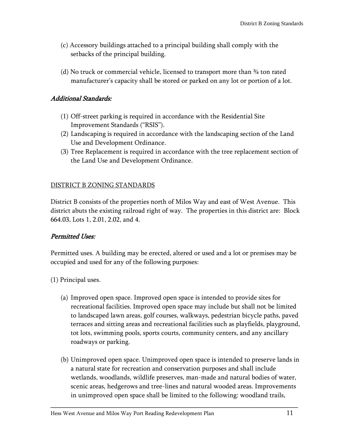- (c) Accessory buildings attached to a principal building shall comply with the setbacks of the principal building.
- (d) No truck or commercial vehicle, licensed to transport more than ¾ ton rated manufacturer's capacity shall be stored or parked on any lot or portion of a lot.

# Additional Standards:

- (1) Off-street parking is required in accordance with the Residential Site Improvement Standards ("RSIS").
- (2) Landscaping is required in accordance with the landscaping section of the Land Use and Development Ordinance.
- (3) Tree Replacement is required in accordance with the tree replacement section of the Land Use and Development Ordinance.

# <span id="page-13-0"></span>DISTRICT B ZONING STANDARDS

District B consists of the properties north of Milos Way and east of West Avenue. This district abuts the existing railroad right of way. The properties in this district are: Block 664.03, Lots 1, 2.01, 2.02, and 4.

# Permitted Uses:

Permitted uses. A building may be erected, altered or used and a lot or premises may be occupied and used for any of the following purposes:

(1) Principal uses.

- (a) Improved open space. Improved open space is intended to provide sites for recreational facilities. Improved open space may include but shall not be limited to landscaped lawn areas, golf courses, walkways, pedestrian bicycle paths, paved terraces and sitting areas and recreational facilities such as playfields, playground, tot lots, swimming pools, sports courts, community centers, and any ancillary roadways or parking.
- (b) Unimproved open space. Unimproved open space is intended to preserve lands in a natural state for recreation and conservation purposes and shall include wetlands, woodlands, wildlife preserves, man-made and natural bodies of water, scenic areas, hedgerows and tree-lines and natural wooded areas. Improvements in unimproved open space shall be limited to the following: woodland trails,

\_\_\_\_\_\_\_\_\_\_\_\_\_\_\_\_\_\_\_\_\_\_\_\_\_\_\_\_\_\_\_\_\_\_\_\_\_\_\_\_\_\_\_\_\_\_\_\_\_\_\_\_\_\_\_\_\_\_\_\_\_\_\_\_\_\_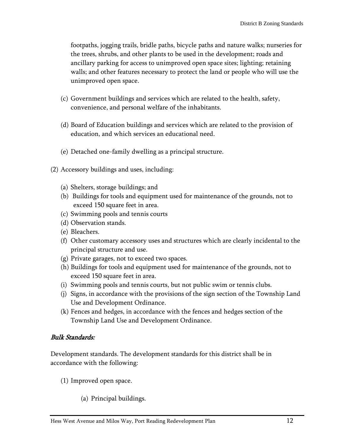footpaths, jogging trails, bridle paths, bicycle paths and nature walks; nurseries for the trees, shrubs, and other plants to be used in the development; roads and ancillary parking for access to unimproved open space sites; lighting; retaining walls; and other features necessary to protect the land or people who will use the unimproved open space.

- (c) Government buildings and services which are related to the health, safety, convenience, and personal welfare of the inhabitants.
- (d) Board of Education buildings and services which are related to the provision of education, and which services an educational need.
- (e) Detached one-family dwelling as a principal structure.
- (2) Accessory buildings and uses, including:
	- (a) Shelters, storage buildings; and
	- (b) Buildings for tools and equipment used for maintenance of the grounds, not to exceed 150 square feet in area.
	- (c) Swimming pools and tennis courts
	- (d) Observation stands.
	- (e) Bleachers.
	- (f) Other customary accessory uses and structures which are clearly incidental to the principal structure and use.
	- (g) Private garages, not to exceed two spaces.
	- (h) Buildings for tools and equipment used for maintenance of the grounds, not to exceed 150 square feet in area.
	- (i) Swimming pools and tennis courts, but not public swim or tennis clubs.
	- (j) Signs, in accordance with the provisions of the sign section of the Township Land Use and Development Ordinance.
	- (k) Fences and hedges, in accordance with the fences and hedges section of the Township Land Use and Development Ordinance.

# Bulk Standards:

Development standards. The development standards for this district shall be in accordance with the following:

- (1) Improved open space.
	- (a) Principal buildings.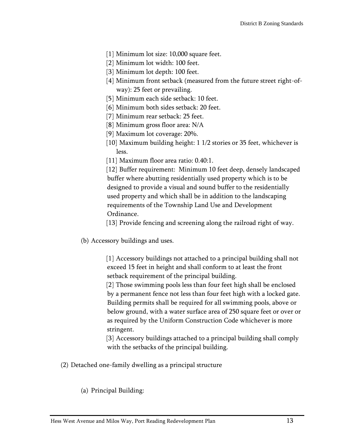- [1] Minimum lot size: 10,000 square feet.
- [2] Minimum lot width: 100 feet.
- [3] Minimum lot depth: 100 feet.
- [4] Minimum front setback (measured from the future street right-ofway): 25 feet or prevailing.
- [5] Minimum each side setback: 10 feet.
- [6] Minimum both sides setback: 20 feet.
- [7] Minimum rear setback: 25 feet.
- [8] Minimum gross floor area: N/A
- [9] Maximum lot coverage: 20%.
- [10] Maximum building height: 1 1/2 stories or 35 feet, whichever is less.
- [11] Maximum floor area ratio: 0.40:1.

[12] Buffer requirement: Minimum 10 feet deep, densely landscaped buffer where abutting residentially used property which is to be designed to provide a visual and sound buffer to the residentially used property and which shall be in addition to the landscaping requirements of the Township Land Use and Development Ordinance.

[13] Provide fencing and screening along the railroad right of way.

(b) Accessory buildings and uses.

[1] Accessory buildings not attached to a principal building shall not exceed 15 feet in height and shall conform to at least the front setback requirement of the principal building.

[2] Those swimming pools less than four feet high shall be enclosed by a permanent fence not less than four feet high with a locked gate. Building permits shall be required for all swimming pools, above or below ground, with a water surface area of 250 square feet or over or as required by the Uniform Construction Code whichever is more stringent.

[3] Accessory buildings attached to a principal building shall comply with the setbacks of the principal building.

(2) Detached one-family dwelling as a principal structure

(a) Principal Building: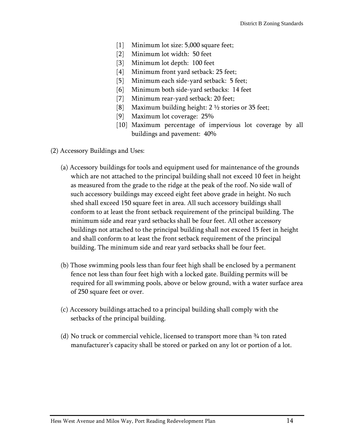- [1] Minimum lot size: 5,000 square feet;
- [2] Minimum lot width: 50 feet
- [3] Minimum lot depth: 100 feet
- [4] Minimum front yard setback: 25 feet;
- [5] Minimum each side-yard setback: 5 feet;
- [6] Minimum both side-yard setbacks: 14 feet
- [7] Minimum rear-yard setback: 20 feet;
- [8] Maximum building height: 2 ½ stories or 35 feet;
- [9] Maximum lot coverage: 25%
- [10] Maximum percentage of impervious lot coverage by all buildings and pavement: 40%
- (2) Accessory Buildings and Uses:
	- (a) Accessory buildings for tools and equipment used for maintenance of the grounds which are not attached to the principal building shall not exceed 10 feet in height as measured from the grade to the ridge at the peak of the roof. No side wall of such accessory buildings may exceed eight feet above grade in height. No such shed shall exceed 150 square feet in area. All such accessory buildings shall conform to at least the front setback requirement of the principal building. The minimum side and rear yard setbacks shall be four feet. All other accessory buildings not attached to the principal building shall not exceed 15 feet in height and shall conform to at least the front setback requirement of the principal building. The minimum side and rear yard setbacks shall be four feet.
	- (b) Those swimming pools less than four feet high shall be enclosed by a permanent fence not less than four feet high with a locked gate. Building permits will be required for all swimming pools, above or below ground, with a water surface area of 250 square feet or over.
	- (c) Accessory buildings attached to a principal building shall comply with the setbacks of the principal building.
	- (d) No truck or commercial vehicle, licensed to transport more than ¾ ton rated manufacturer's capacity shall be stored or parked on any lot or portion of a lot.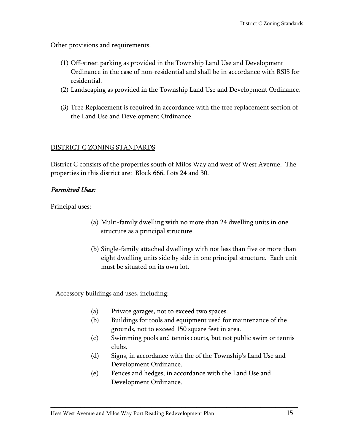Other provisions and requirements.

- (1) Off-street parking as provided in the Township Land Use and Development Ordinance in the case of non-residential and shall be in accordance with RSIS for residential.
- (2) Landscaping as provided in the Township Land Use and Development Ordinance.
- <span id="page-17-0"></span>(3) Tree Replacement is required in accordance with the tree replacement section of the Land Use and Development Ordinance.

#### DISTRICT C ZONING STANDARDS

District C consists of the properties south of Milos Way and west of West Avenue. The properties in this district are: Block 666, Lots 24 and 30.

# Permitted Uses:

Principal uses:

- (a) Multi-family dwelling with no more than 24 dwelling units in one structure as a principal structure.
- (b) Single-family attached dwellings with not less than five or more than eight dwelling units side by side in one principal structure. Each unit must be situated on its own lot.

Accessory buildings and uses, including:

- (a) Private garages, not to exceed two spaces.
- (b) Buildings for tools and equipment used for maintenance of the grounds, not to exceed 150 square feet in area.
- (c) Swimming pools and tennis courts, but not public swim or tennis clubs.
- (d) Signs, in accordance with the of the Township's Land Use and Development Ordinance.
- (e) Fences and hedges, in accordance with the Land Use and Development Ordinance.

\_\_\_\_\_\_\_\_\_\_\_\_\_\_\_\_\_\_\_\_\_\_\_\_\_\_\_\_\_\_\_\_\_\_\_\_\_\_\_\_\_\_\_\_\_\_\_\_\_\_\_\_\_\_\_\_\_\_\_\_\_\_\_\_\_\_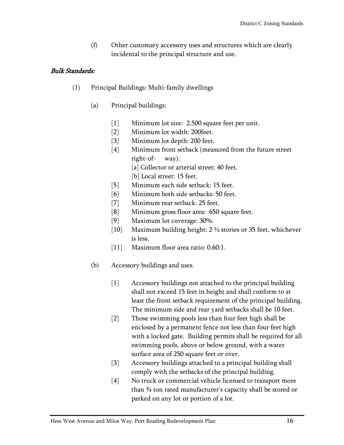(f) Other customary accessory uses and structures which are clearly incidental to the principal structure and use.

# Bulk Standards:

- (1) Principal Buildings: Multi-family dwellings
	- (a) Principal buildings:
		- [1] Minimum lot size: 2,500 square feet per unit.
		- [2] Minimum lot width: 200feet.
		- [3] Minimum lot depth: 200 feet.
		- [4] Minimum front setback (measured from the future street right-of- way):
			- [a] Collector or arterial street: 40 feet.
			- [b] Local street: 15 feet.
		- [5] Minimum each side setback: 15 feet.
		- [6] Minimum both side setbacks: 50 feet.
		- [7] Minimum rear setback: 25 feet.
		- [8] Minimum gross floor area: 650 square feet.
		- [9] Maximum lot coverage: 30%.
		- [10] Maximum building height: 2 ½ stories or 35 feet, whichever is less.
		- [11] Maximum floor area ratio: 0.60:1.
	- (b) Accessory buildings and uses.
		- [1] Accessory buildings not attached to the principal building shall not exceed 15 feet in height and shall conform to at least the front setback requirement of the principal building. The minimum side and rear yard setbacks shall be 10 feet.
		- [2] Those swimming pools less than four feet high shall be enclosed by a permanent fence not less than four feet high with a locked gate. Building permits shall be required for all swimming pools, above or below ground, with a water surface area of 250 square feet or over.
		- [3] Accessory buildings attached to a principal building shall comply with the setbacks of the principal building.
		- [4] No truck or commercial vehicle licensed to transport more than ¾ ton rated manufacturer's capacity shall be stored or parked on any lot or portion of a lot.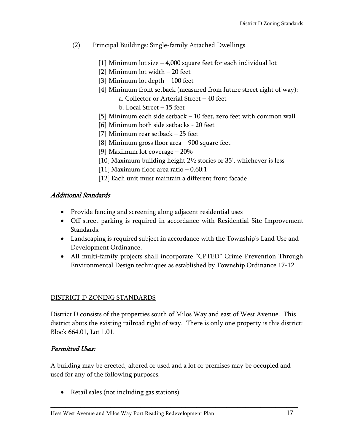- (2) Principal Buildings: Single-family Attached Dwellings
	- [1] Minimum lot size 4,000 square feet for each individual lot
	- [2] Minimum lot width 20 feet
	- [3] Minimum lot depth 100 feet
	- [4] Minimum front setback (measured from future street right of way): a. Collector or Arterial Street – 40 feet b. Local Street – 15 feet
	- [5] Minimum each side setback 10 feet, zero feet with common wall
	- [6] Minimum both side setbacks 20 feet
	- [7] Minimum rear setback 25 feet
	- [8] Minimum gross floor area 900 square feet
	- [9] Maximum lot coverage 20%
	- [10] Maximum building height 2½ stories or 35', whichever is less
	- [11] Maximum floor area ratio  $-0.60:1$
	- [12] Each unit must maintain a different front facade

# Additional Standards

- Provide fencing and screening along adjacent residential uses
- Off-street parking is required in accordance with Residential Site Improvement Standards.
- Landscaping is required subject in accordance with the Township's Land Use and Development Ordinance.
- All multi-family projects shall incorporate "CPTED" Crime Prevention Through Environmental Design techniques as established by Township Ordinance 17-12.

# <span id="page-19-0"></span>DISTRICT D ZONING STANDARDS

District D consists of the properties south of Milos Way and east of West Avenue. This district abuts the existing railroad right of way. There is only one property is this district: Block 664.01, Lot 1.01.

# Permitted Uses:

A building may be erected, altered or used and a lot or premises may be occupied and used for any of the following purposes.

\_\_\_\_\_\_\_\_\_\_\_\_\_\_\_\_\_\_\_\_\_\_\_\_\_\_\_\_\_\_\_\_\_\_\_\_\_\_\_\_\_\_\_\_\_\_\_\_\_\_\_\_\_\_\_\_\_\_\_\_\_\_\_\_\_\_

• Retail sales (not including gas stations)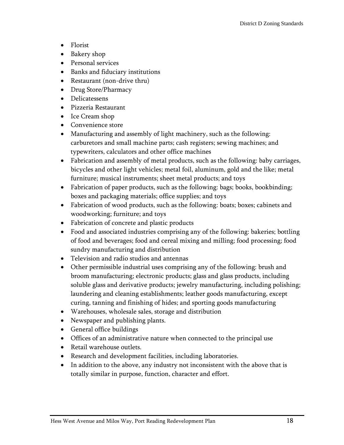- Florist
- Bakery shop
- Personal services
- Banks and fiduciary institutions
- Restaurant (non-drive thru)
- Drug Store/Pharmacy
- Delicatessens
- Pizzeria Restaurant
- Ice Cream shop
- Convenience store
- Manufacturing and assembly of light machinery, such as the following: carburetors and small machine parts; cash registers; sewing machines; and typewriters, calculators and other office machines
- Fabrication and assembly of metal products, such as the following: baby carriages, bicycles and other light vehicles; metal foil, aluminum, gold and the like; metal furniture; musical instruments; sheet metal products; and toys
- Fabrication of paper products, such as the following: bags; books, bookbinding; boxes and packaging materials; office supplies; and toys
- Fabrication of wood products, such as the following: boats; boxes; cabinets and woodworking; furniture; and toys
- Fabrication of concrete and plastic products
- Food and associated industries comprising any of the following: bakeries; bottling of food and beverages; food and cereal mixing and milling; food processing; food sundry manufacturing and distribution
- Television and radio studios and antennas
- Other permissible industrial uses comprising any of the following: brush and broom manufacturing; electronic products; glass and glass products, including soluble glass and derivative products; jewelry manufacturing, including polishing; laundering and cleaning establishments; leather goods manufacturing, except curing, tanning and finishing of hides; and sporting goods manufacturing
- Warehouses, wholesale sales, storage and distribution
- Newspaper and publishing plants.
- General office buildings
- Offices of an administrative nature when connected to the principal use
- Retail warehouse outlets.
- Research and development facilities, including laboratories.
- In addition to the above, any industry not inconsistent with the above that is totally similar in purpose, function, character and effort.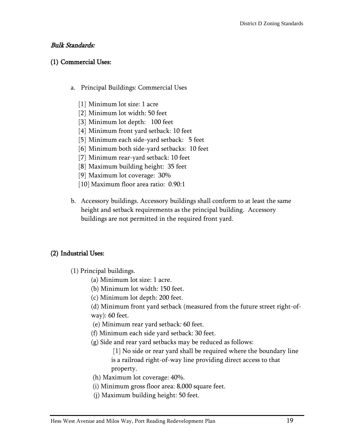#### Bulk Standards:

#### (1) Commercial Uses:

- a. Principal Buildings: Commercial Uses
	- [1] Minimum lot size: 1 acre
	- [2] Minimum lot width: 50 feet
	- [3] Minimum lot depth: 100 feet
	- [4] Minimum front yard setback: 10 feet
	- [5] Minimum each side-yard setback: 5 feet
	- [6] Minimum both side-yard setbacks: 10 feet
	- [7] Minimum rear-yard setback: 10 feet
	- [8] Maximum building height: 35 feet
	- [9] Maximum lot coverage: 30%
	- [10] Maximum floor area ratio: 0.90:1
- b. Accessory buildings. Accessory buildings shall conform to at least the same height and setback requirements as the principal building. Accessory buildings are not permitted in the required front yard.

#### (2) Industrial Uses:

- (1) Principal buildings.
	- (a) Minimum lot size: 1 acre.
	- (b) Minimum lot width: 150 feet.
	- (c) Minimum lot depth: 200 feet.

(d) Minimum front yard setback (measured from the future street right-ofway): 60 feet.

- (e) Minimum rear yard setback: 60 feet.
- (f) Minimum each side yard setback: 30 feet.
- (g) Side and rear yard setbacks may be reduced as follows:

[1] No side or rear yard shall be required where the boundary line is a railroad right-of-way line providing direct access to that property.

- (h) Maximum lot coverage: 40%.
- (i) Minimum gross floor area: 8,000 square feet.
- (j) Maximum building height: 50 feet.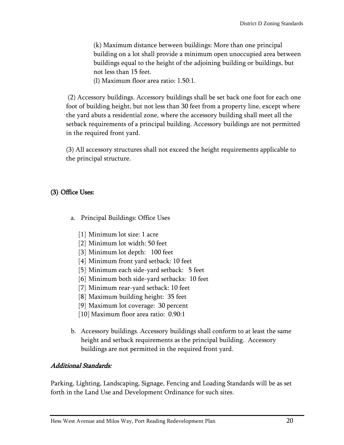(k) Maximum distance between buildings: More than one principal building on a lot shall provide a minimum open unoccupied area between buildings equal to the height of the adjoining building or buildings, but not less than 15 feet.

(l) Maximum floor area ratio: 1.50:1.

(2) Accessory buildings. Accessory buildings shall be set back one foot for each one foot of building height, but not less than 30 feet from a property line, except where the yard abuts a residential zone, where the accessory building shall meet all the setback requirements of a principal building. Accessory buildings are not permitted in the required front yard.

(3) All accessory structures shall not exceed the height requirements applicable to the principal structure.

# (3) Office Uses:

- a. Principal Buildings: Office Uses
	- [1] Minimum lot size: 1 acre
	- [2] Minimum lot width: 50 feet
	- [3] Minimum lot depth: 100 feet
	- [4] Minimum front yard setback: 10 feet
	- [5] Minimum each side-yard setback: 5 feet
	- [6] Minimum both side-yard setbacks: 10 feet
	- [7] Minimum rear-yard setback: 10 feet
	- [8] Maximum building height: 35 feet
	- [9] Maximum lot coverage: 30 percent
	- [10] Maximum floor area ratio: 0.90:1
- b. Accessory buildings. Accessory buildings shall conform to at least the same height and setback requirements as the principal building. Accessory buildings are not permitted in the required front yard.

# Additional Standards:

Parking, Lighting, Landscaping, Signage, Fencing and Loading Standards will be as set forth in the Land Use and Development Ordinance for such sites.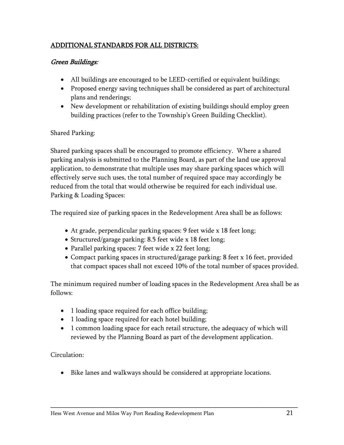# ADDITIONAL STANDARDS FOR ALL DISTRICTS:

# Green Buildings:

- All buildings are encouraged to be LEED-certified or equivalent buildings;
- Proposed energy saving techniques shall be considered as part of architectural plans and renderings;
- New development or rehabilitation of existing buildings should employ green building practices (refer to the Township's Green Building Checklist).

# Shared Parking:

Shared parking spaces shall be encouraged to promote efficiency. Where a shared parking analysis is submitted to the Planning Board, as part of the land use approval application, to demonstrate that multiple uses may share parking spaces which will effectively serve such uses, the total number of required space may accordingly be reduced from the total that would otherwise be required for each individual use. Parking & Loading Spaces:

The required size of parking spaces in the Redevelopment Area shall be as follows:

- At grade, perpendicular parking spaces: 9 feet wide x 18 feet long;
- Structured/garage parking: 8.5 feet wide x 18 feet long;
- Parallel parking spaces: 7 feet wide x 22 feet long;
- Compact parking spaces in structured/garage parking: 8 feet x 16 feet, provided that compact spaces shall not exceed 10% of the total number of spaces provided.

The minimum required number of loading spaces in the Redevelopment Area shall be as follows:

- 1 loading space required for each office building;
- 1 loading space required for each hotel building;
- 1 common loading space for each retail structure, the adequacy of which will reviewed by the Planning Board as part of the development application.

Circulation:

Bike lanes and walkways should be considered at appropriate locations.

\_\_\_\_\_\_\_\_\_\_\_\_\_\_\_\_\_\_\_\_\_\_\_\_\_\_\_\_\_\_\_\_\_\_\_\_\_\_\_\_\_\_\_\_\_\_\_\_\_\_\_\_\_\_\_\_\_\_\_\_\_\_\_\_\_\_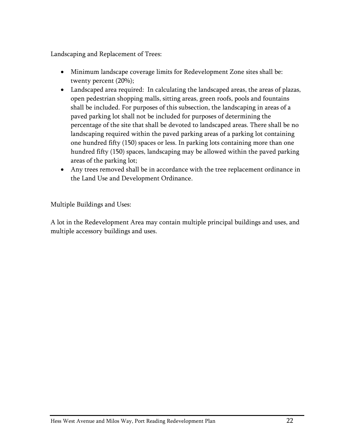Landscaping and Replacement of Trees:

- Minimum landscape coverage limits for Redevelopment Zone sites shall be: twenty percent (20%);
- Landscaped area required: In calculating the landscaped areas, the areas of plazas, open pedestrian shopping malls, sitting areas, green roofs, pools and fountains shall be included. For purposes of this subsection, the landscaping in areas of a paved parking lot shall not be included for purposes of determining the percentage of the site that shall be devoted to landscaped areas. There shall be no landscaping required within the paved parking areas of a parking lot containing one hundred fifty (150) spaces or less. In parking lots containing more than one hundred fifty (150) spaces, landscaping may be allowed within the paved parking areas of the parking lot;
- Any trees removed shall be in accordance with the tree replacement ordinance in the Land Use and Development Ordinance.

Multiple Buildings and Uses:

A lot in the Redevelopment Area may contain multiple principal buildings and uses, and multiple accessory buildings and uses.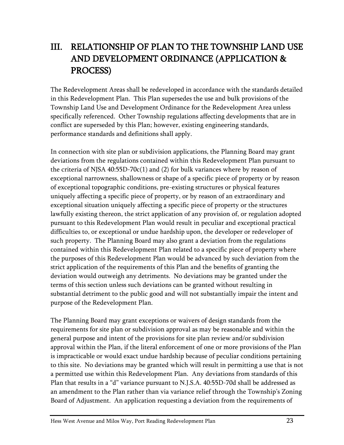# <span id="page-25-0"></span>III. RELATIONSHIP OF PLAN TO THE TOWNSHIP LAND USE AND DEVELOPMENT ORDINANCE (APPLICATION & PROCESS)

The Redevelopment Areas shall be redeveloped in accordance with the standards detailed in this Redevelopment Plan. This Plan supersedes the use and bulk provisions of the Township Land Use and Development Ordinance for the Redevelopment Area unless specifically referenced. Other Township regulations affecting developments that are in conflict are superseded by this Plan; however, existing engineering standards, performance standards and definitions shall apply.

In connection with site plan or subdivision applications, the Planning Board may grant deviations from the regulations contained within this Redevelopment Plan pursuant to the criteria of NJSA 40:55D-70c(1) and (2) for bulk variances where by reason of exceptional narrowness, shallowness or shape of a specific piece of property or by reason of exceptional topographic conditions, pre-existing structures or physical features uniquely affecting a specific piece of property, or by reason of an extraordinary and exceptional situation uniquely affecting a specific piece of property or the structures lawfully existing thereon, the strict application of any provision of, or regulation adopted pursuant to this Redevelopment Plan would result in peculiar and exceptional practical difficulties to, or exceptional or undue hardship upon, the developer or redeveloper of such property. The Planning Board may also grant a deviation from the regulations contained within this Redevelopment Plan related to a specific piece of property where the purposes of this Redevelopment Plan would be advanced by such deviation from the strict application of the requirements of this Plan and the benefits of granting the deviation would outweigh any detriments. No deviations may be granted under the terms of this section unless such deviations can be granted without resulting in substantial detriment to the public good and will not substantially impair the intent and purpose of the Redevelopment Plan.

The Planning Board may grant exceptions or waivers of design standards from the requirements for site plan or subdivision approval as may be reasonable and within the general purpose and intent of the provisions for site plan review and/or subdivision approval within the Plan, if the literal enforcement of one or more provisions of the Plan is impracticable or would exact undue hardship because of peculiar conditions pertaining to this site. No deviations may be granted which will result in permitting a use that is not a permitted use within this Redevelopment Plan. Any deviations from standards of this Plan that results in a "d" variance pursuant to N.J.S.A. 40:55D-70d shall be addressed as an amendment to the Plan rather than via variance relief through the Township's Zoning Board of Adjustment. An application requesting a deviation from the requirements of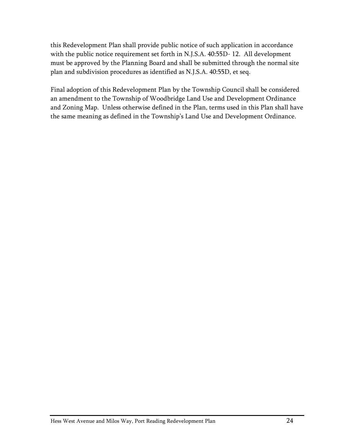this Redevelopment Plan shall provide public notice of such application in accordance with the public notice requirement set forth in N.J.S.A. 40:55D- 12. All development must be approved by the Planning Board and shall be submitted through the normal site plan and subdivision procedures as identified as N.J.S.A. 40:55D, et seq.

Final adoption of this Redevelopment Plan by the Township Council shall be considered an amendment to the Township of Woodbridge Land Use and Development Ordinance and Zoning Map. Unless otherwise defined in the Plan, terms used in this Plan shall have the same meaning as defined in the Township's Land Use and Development Ordinance.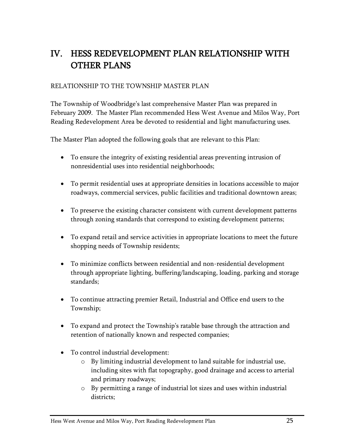# <span id="page-27-0"></span>IV. HESS REDEVELOPMENT PLAN RELATIONSHIP WITH OTHER PLANS

# RELATIONSHIP TO THE TOWNSHIP MASTER PLAN

The Township of Woodbridge's last comprehensive Master Plan was prepared in February 2009. The Master Plan recommended Hess West Avenue and Milos Way, Port Reading Redevelopment Area be devoted to residential and light manufacturing uses.

The Master Plan adopted the following goals that are relevant to this Plan:

- To ensure the integrity of existing residential areas preventing intrusion of nonresidential uses into residential neighborhoods;
- To permit residential uses at appropriate densities in locations accessible to major roadways, commercial services, public facilities and traditional downtown areas;
- To preserve the existing character consistent with current development patterns through zoning standards that correspond to existing development patterns;
- To expand retail and service activities in appropriate locations to meet the future shopping needs of Township residents;
- To minimize conflicts between residential and non-residential development through appropriate lighting, buffering/landscaping, loading, parking and storage standards;
- To continue attracting premier Retail, Industrial and Office end users to the Township;
- To expand and protect the Township's ratable base through the attraction and retention of nationally known and respected companies;
- To control industrial development:
	- o By limiting industrial development to land suitable for industrial use, including sites with flat topography, good drainage and access to arterial and primary roadways;
	- o By permitting a range of industrial lot sizes and uses within industrial districts;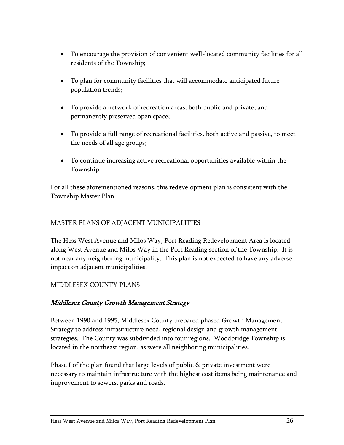- To encourage the provision of convenient well-located community facilities for all residents of the Township;
- To plan for community facilities that will accommodate anticipated future population trends;
- To provide a network of recreation areas, both public and private, and permanently preserved open space;
- To provide a full range of recreational facilities, both active and passive, to meet the needs of all age groups;
- To continue increasing active recreational opportunities available within the Township.

For all these aforementioned reasons, this redevelopment plan is consistent with the Township Master Plan.

# MASTER PLANS OF ADJACENT MUNICIPALITIES

The Hess West Avenue and Milos Way, Port Reading Redevelopment Area is located along West Avenue and Milos Way in the Port Reading section of the Township. It is not near any neighboring municipality. This plan is not expected to have any adverse impact on adjacent municipalities.

# MIDDLESEX COUNTY PLANS

# Middlesex County Growth Management Strategy

Between 1990 and 1995, Middlesex County prepared phased Growth Management Strategy to address infrastructure need, regional design and growth management strategies. The County was subdivided into four regions. Woodbridge Township is located in the northeast region, as were all neighboring municipalities.

Phase I of the plan found that large levels of public & private investment were necessary to maintain infrastructure with the highest cost items being maintenance and improvement to sewers, parks and roads.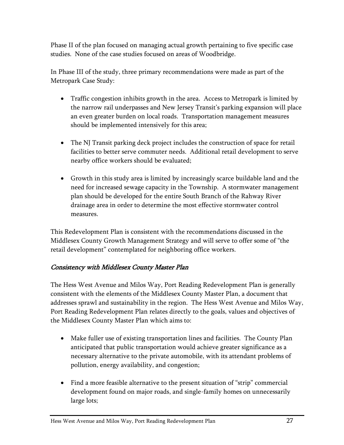Phase II of the plan focused on managing actual growth pertaining to five specific case studies. None of the case studies focused on areas of Woodbridge.

In Phase III of the study, three primary recommendations were made as part of the Metropark Case Study:

- Traffic congestion inhibits growth in the area. Access to Metropark is limited by the narrow rail underpasses and New Jersey Transit's parking expansion will place an even greater burden on local roads. Transportation management measures should be implemented intensively for this area;
- The NJ Transit parking deck project includes the construction of space for retail facilities to better serve commuter needs. Additional retail development to serve nearby office workers should be evaluated;
- Growth in this study area is limited by increasingly scarce buildable land and the need for increased sewage capacity in the Township. A stormwater management plan should be developed for the entire South Branch of the Rahway River drainage area in order to determine the most effective stormwater control measures.

This Redevelopment Plan is consistent with the recommendations discussed in the Middlesex County Growth Management Strategy and will serve to offer some of "the retail development" contemplated for neighboring office workers.

# Consistency with Middlesex County Master Plan

The Hess West Avenue and Milos Way, Port Reading Redevelopment Plan is generally consistent with the elements of the Middlesex County Master Plan, a document that addresses sprawl and sustainability in the region. The Hess West Avenue and Milos Way, Port Reading Redevelopment Plan relates directly to the goals, values and objectives of the Middlesex County Master Plan which aims to:

- Make fuller use of existing transportation lines and facilities. The County Plan anticipated that public transportation would achieve greater significance as a necessary alternative to the private automobile, with its attendant problems of pollution, energy availability, and congestion;
- Find a more feasible alternative to the present situation of "strip" commercial development found on major roads, and single-family homes on unnecessarily large lots;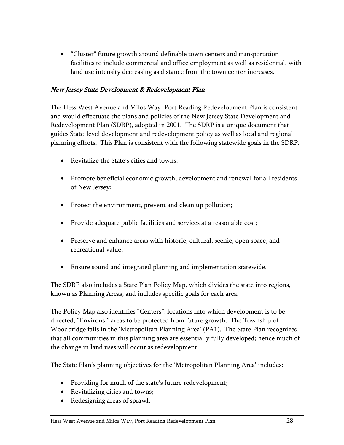"Cluster" future growth around definable town centers and transportation facilities to include commercial and office employment as well as residential, with land use intensity decreasing as distance from the town center increases.

# New Jersey State Development & Redevelopment Plan

The Hess West Avenue and Milos Way, Port Reading Redevelopment Plan is consistent and would effectuate the plans and policies of the New Jersey State Development and Redevelopment Plan (SDRP), adopted in 2001. The SDRP is a unique document that guides State-level development and redevelopment policy as well as local and regional planning efforts. This Plan is consistent with the following statewide goals in the SDRP.

- Revitalize the State's cities and towns;
- Promote beneficial economic growth, development and renewal for all residents of New Jersey;
- Protect the environment, prevent and clean up pollution;
- Provide adequate public facilities and services at a reasonable cost;
- Preserve and enhance areas with historic, cultural, scenic, open space, and recreational value;
- Ensure sound and integrated planning and implementation statewide.

The SDRP also includes a State Plan Policy Map, which divides the state into regions, known as Planning Areas, and includes specific goals for each area.

The Policy Map also identifies "Centers", locations into which development is to be directed, "Environs," areas to be protected from future growth. The Township of Woodbridge falls in the 'Metropolitan Planning Area' (PA1). The State Plan recognizes that all communities in this planning area are essentially fully developed; hence much of the change in land uses will occur as redevelopment.

The State Plan's planning objectives for the 'Metropolitan Planning Area' includes:

- Providing for much of the state's future redevelopment;
- Revitalizing cities and towns;
- Redesigning areas of sprawl;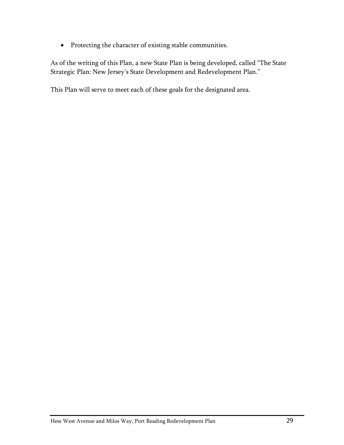• Protecting the character of existing stable communities.

As of the writing of this Plan, a new State Plan is being developed, called "The State Strategic Plan: New Jersey's State Development and Redevelopment Plan."

This Plan will serve to meet each of these goals for the designated area.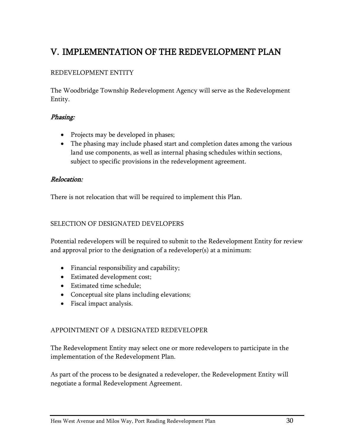# <span id="page-32-0"></span>V. IMPLEMENTATION OF THE REDEVELOPMENT PLAN

# REDEVELOPMENT ENTITY

The Woodbridge Township Redevelopment Agency will serve as the Redevelopment Entity.

#### Phasing:

- Projects may be developed in phases;
- The phasing may include phased start and completion dates among the various land use components, as well as internal phasing schedules within sections, subject to specific provisions in the redevelopment agreement.

#### Relocation:

There is not relocation that will be required to implement this Plan.

#### SELECTION OF DESIGNATED DEVELOPERS

Potential redevelopers will be required to submit to the Redevelopment Entity for review and approval prior to the designation of a redeveloper(s) at a minimum:

- Financial responsibility and capability;
- Estimated development cost;
- Estimated time schedule:
- Conceptual site plans including elevations;
- Fiscal impact analysis.

#### APPOINTMENT OF A DESIGNATED REDEVELOPER

The Redevelopment Entity may select one or more redevelopers to participate in the implementation of the Redevelopment Plan.

As part of the process to be designated a redeveloper, the Redevelopment Entity will negotiate a formal Redevelopment Agreement.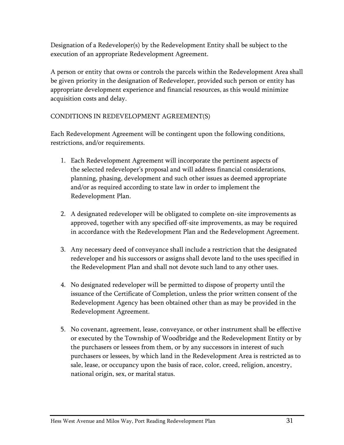Designation of a Redeveloper(s) by the Redevelopment Entity shall be subject to the execution of an appropriate Redevelopment Agreement.

A person or entity that owns or controls the parcels within the Redevelopment Area shall be given priority in the designation of Redeveloper, provided such person or entity has appropriate development experience and financial resources, as this would minimize acquisition costs and delay.

# CONDITIONS IN REDEVELOPMENT AGREEMENT(S)

Each Redevelopment Agreement will be contingent upon the following conditions, restrictions, and/or requirements.

- 1. Each Redevelopment Agreement will incorporate the pertinent aspects of the selected redeveloper's proposal and will address financial considerations, planning, phasing, development and such other issues as deemed appropriate and/or as required according to state law in order to implement the Redevelopment Plan.
- 2. A designated redeveloper will be obligated to complete on-site improvements as approved, together with any specified off-site improvements, as may be required in accordance with the Redevelopment Plan and the Redevelopment Agreement.
- 3. Any necessary deed of conveyance shall include a restriction that the designated redeveloper and his successors or assigns shall devote land to the uses specified in the Redevelopment Plan and shall not devote such land to any other uses.
- 4. No designated redeveloper will be permitted to dispose of property until the issuance of the Certificate of Completion, unless the prior written consent of the Redevelopment Agency has been obtained other than as may be provided in the Redevelopment Agreement.
- 5. No covenant, agreement, lease, conveyance, or other instrument shall be effective or executed by the Township of Woodbridge and the Redevelopment Entity or by the purchasers or lessees from them, or by any successors in interest of such purchasers or lessees, by which land in the Redevelopment Area is restricted as to sale, lease, or occupancy upon the basis of race, color, creed, religion, ancestry, national origin, sex, or marital status.